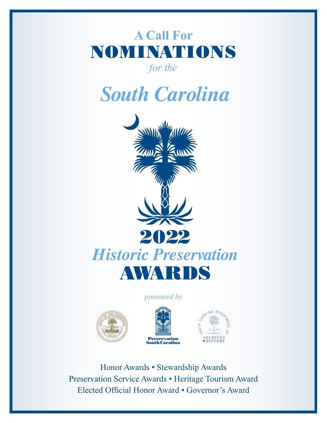# **A Call For** NOMINATIONS

*for the* 

*South Carolina*



#### *presented by*







Honor Awards • Stewardship Awards Preservation Service Awards • Heritage Tourism Award Elected Official Honor Award • Governor's Award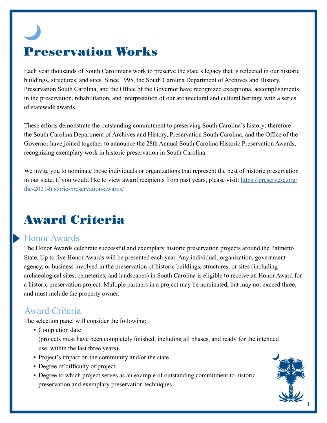# Preservation Works

Each year thousands of South Carolinians work to preserve the state's legacy that is reflected in our historic buildings, structures, and sites. Since 1995, the South Carolina Department of Archives and History, Preservation South Carolina, and the Office of the Governor have recognized exceptional accomplishments in the preservation, rehabilitation, and interpretation of our architectural and cultural heritage with a series of statewide awards.

These efforts demonstrate the outstanding commitment to preserving South Carolina's history; therefore the South Carolina Department of Archives and History, Preservation South Carolina, and the Office of the Governor have joined together to announce the 28th Annual South Carolina Historic Preservation Awards, recognizing exemplary work in historic preservation in South Carolina.

We invite you to nominate those individuals or organizations that represent the best of historic preservation in our state. If you would like to view award recipients from past years, please visit: [https://preservesc.org/](https://preservesc.org/the-2021-historic-preservation-awards/) [the-2021-historic-preservation-awards/](https://preservesc.org/the-2021-historic-preservation-awards/)

# Award Criteria

## Honor Awards

The Honor Awards celebrate successful and exemplary historic preservation projects around the Palmetto State. Up to five Honor Awards will be presented each year. Any individual, organization, government agency, or business involved in the preservation of historic buildings, structures, or sites (including archaeological sites, cemeteries, and landscapes) in South Carolina is eligible to receive an Honor Award for a historic preservation project. Multiple partners in a project may be nominated, but may not exceed three, and must include the property owner.

# Award Criteria

The selection panel will consider the following:

• Completion date

(projects must have been completely finished, including all phases, and ready for the intended use, within the last three years)

- Project's impact on the community and/or the state
- Degree of difficulty of project
- Degree to which project serves as an example of outstanding commitment to historic preservation and exemplary preservation techniques

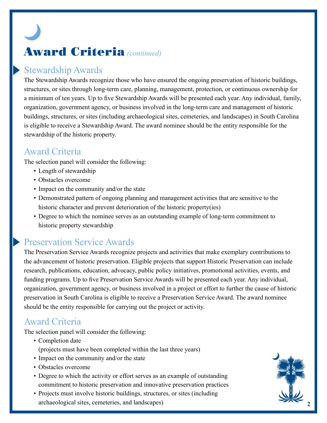# Award Criteria *(continued)*

# Stewardship Awards

The Stewardship Awards recognize those who have ensured the ongoing preservation of historic buildings, structures, or sites through long-term care, planning, management, protection, or continuous ownership for a minimum of ten years. Up to five Stewardship Awards will be presented each year. Any individual, family, organization, government agency, or business involved in the long-term care and management of historic buildings, structures, or sites (including archaeological sites, cemeteries, and landscapes) in South Carolina is eligible to receive a Stewardship Award. The award nominee should be the entity responsible for the stewardship of the historic property.

## Award Criteria

The selection panel will consider the following:

- Length of stewardship
- Obstacles overcome
- Impact on the community and/or the state
- Demonstrated pattern of ongoing planning and management activities that are sensitive to the historic character and prevent deterioration of the historic property(ies)
- Degree to which the nominee serves as an outstanding example of long-term commitment to historic property stewardship

# Preservation Service Awards

The Preservation Service Awards recognize projects and activities that make exemplary contributions to the advancement of historic preservation. Eligible projects that support Historic Preservation can include research, publications, education, advocacy, public policy initiatives, promotional activities, events, and funding programs. Up to five Preservation Service Awards will be presented each year. Any individual, organization, government agency, or business involved in a project or effort to further the cause of historic preservation in South Carolina is eligible to receive a Preservation Service Award. The award nominee should be the entity responsible for carrying out the project or activity.

# Award Criteria

The selection panel will consider the following:

- Completion date (projects must have been completed within the last three years)
- Impact on the community and/or the state
- Obstacles overcome
- Degree to which the activity or effort serves as an example of outstanding commitment to historic preservation and innovative preservation practices
- Projects must involve historic buildings, structures, or sites (including archaeological sites, cemeteries, and landscapes) **2**

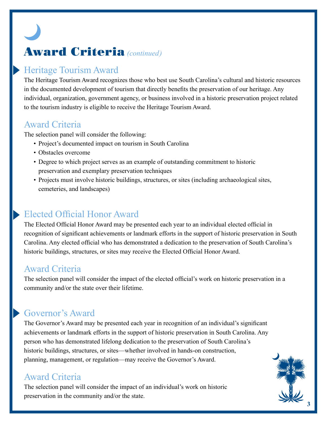# Award Criteria *(continued)*

# Heritage Tourism Award

The Heritage Tourism Award recognizes those who best use South Carolina's cultural and historic resources in the documented development of tourism that directly benefits the preservation of our heritage. Any individual, organization, government agency, or business involved in a historic preservation project related to the tourism industry is eligible to receive the Heritage Tourism Award.

## Award Criteria

The selection panel will consider the following:

- Project's documented impact on tourism in South Carolina
- Obstacles overcome
- Degree to which project serves as an example of outstanding commitment to historic preservation and exemplary preservation techniques
- Projects must involve historic buildings, structures, or sites (including archaeological sites, cemeteries, and landscapes)

# Elected Official Honor Award

The Elected Official Honor Award may be presented each year to an individual elected official in recognition of significant achievements or landmark efforts in the support of historic preservation in South Carolina. Any elected official who has demonstrated a dedication to the preservation of South Carolina's historic buildings, structures, or sites may receive the Elected Official Honor Award.

# Award Criteria

The selection panel will consider the impact of the elected official's work on historic preservation in a community and/or the state over their lifetime.

# Governor's Award

The Governor's Award may be presented each year in recognition of an individual's significant achievements or landmark efforts in the support of historic preservation in South Carolina. Any person who has demonstrated lifelong dedication to the preservation of South Carolina's historic buildings, structures, or sites—whether involved in hands-on construction, planning, management, or regulation—may receive the Governor's Award.

## Award Criteria

The selection panel will consider the impact of an individual's work on historic preservation in the community and/or the state.

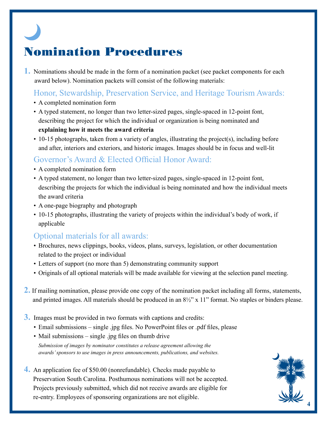# Nomination Procedures

**1.** Nominations should be made in the form of a nomination packet (see packet components for each award below). Nomination packets will consist of the following materials:

### Honor, Stewardship, Preservation Service, and Heritage Tourism Awards:

- A completed nomination form
- A typed statement, no longer than two letter-sized pages, single-spaced in 12-point font, describing the project for which the individual or organization is being nominated and **explaining how it meets the award criteria**
- 10-15 photographs, taken from a variety of angles, illustrating the project(s), including before and after, interiors and exteriors, and historic images. Images should be in focus and well-lit

### Governor's Award & Elected Official Honor Award:

- A completed nomination form
- A typed statement, no longer than two letter-sized pages, single-spaced in 12-point font, describing the projects for which the individual is being nominated and how the individual meets the award criteria
- A one-page biography and photograph
- 10-15 photographs, illustrating the variety of projects within the individual's body of work, if applicable

#### Optional materials for all awards:

- Brochures, news clippings, books, videos, plans, surveys, legislation, or other documentation related to the project or individual
- Letters of support (no more than 5) demonstrating community support
- Originals of all optional materials will be made available for viewing at the selection panel meeting.
- **2.** If mailing nomination, please provide one copy of the nomination packet including all forms, statements, and printed images. All materials should be produced in an 8½" x 11" format. No staples or binders please.
- **3.** Images must be provided in two formats with captions and credits:
	- Email submissions single .jpg files. No PowerPoint files or .pdf files, please
	- Mail submissions single .jpg files on thumb drive

*Submission of images by nominator constitutes a release agreement allowing the awards' sponsors to use images in press announcements, publications, and websites.*

**4.** An application fee of \$50.00 (nonrefundable). Checks made payable to Preservation South Carolina. Posthumous nominations will not be accepted. Projects previously submitted, which did not receive awards are eligible for re-entry. Employees of sponsoring organizations are not eligible.

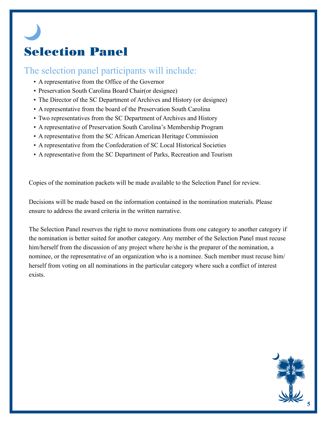# Selection Panel

### The selection panel participants will include:

- A representative from the Office of the Governor
- Preservation South Carolina Board Chair(or designee)
- The Director of the SC Department of Archives and History (or designee)
- A representative from the board of the Preservation South Carolina
- Two representatives from the SC Department of Archives and History
- A representative of Preservation South Carolina's Membership Program
- A representative from the SC African American Heritage Commission
- A representative from the Confederation of SC Local Historical Societies
- A representative from the SC Department of Parks, Recreation and Tourism

Copies of the nomination packets will be made available to the Selection Panel for review.

Decisions will be made based on the information contained in the nomination materials. Please ensure to address the award criteria in the written narrative.

The Selection Panel reserves the right to move nominations from one category to another category if the nomination is better suited for another category. Any member of the Selection Panel must recuse him/herself from the discussion of any project where he/she is the preparer of the nomination, a nominee, or the representative of an organization who is a nominee. Such member must recuse him/ herself from voting on all nominations in the particular category where such a conflict of interest exists.

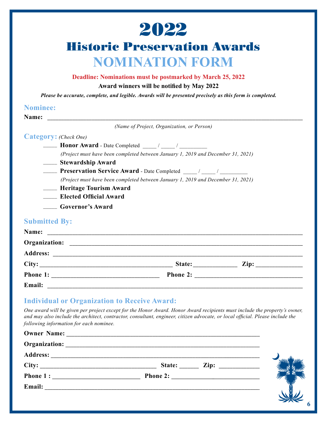

# Historic Preservation Awards **NOMINATION FORM**

#### **Deadline: Nominations must be postmarked by March 25, 2022**

#### **Award winners will be notified by May 2022**

*Please be accurate, complete, and legible. Awards will be presented precisely as this form is completed.*

#### **Nominee:**

**Name: \_\_\_\_\_\_\_\_\_\_\_\_\_\_\_\_\_\_\_\_\_\_\_\_\_\_\_\_\_\_\_\_\_\_\_\_\_\_\_\_\_\_\_\_\_\_\_\_\_\_\_\_\_\_\_\_\_\_\_\_\_\_\_\_\_\_\_\_\_\_\_\_\_\_\_\_\_\_\_\_\_\_\_\_\_\_\_\_\_\_\_\_** *(Name of Project, Organization, or Person)*

| Category: (Check One) |  |
|-----------------------|--|
|-----------------------|--|

\_\_\_\_\_ **Honor Award** - Date Completed \_\_\_\_\_ / \_\_\_\_\_ / \_\_\_\_\_\_\_\_\_\_

*(Project must have been completed between January 1, 2019 and December 31, 2021)*

\_\_\_\_\_ **Stewardship Award**

**Preservation Service Award** - Date Completed \_\_\_\_ / \_\_\_\_ / \_\_\_\_\_\_\_\_

*(Project must have been completed between January 1, 2019 and December 31, 2021)*

- \_\_\_\_\_ **Heritage Tourism Award**
- \_\_\_\_\_ **Elected Official Award**
- \_\_\_\_\_ **Governor's Award**

#### Submitted By:

|  | Submitted By: |
|--|---------------|
|  |               |
|  |               |

| Name:         |                 |                                   |  |
|---------------|-----------------|-----------------------------------|--|
| Organization: |                 |                                   |  |
|               |                 |                                   |  |
|               | State: ________ | $\mathbf{Zip:} \_\_\_\_\_\_\_\_\$ |  |
| Phone 1:      |                 |                                   |  |
| Email:        |                 |                                   |  |

#### **Individual or Organization to Receive Award:**

*One award will be given per project except for the Honor Award. Honor Award recipients must include the property's owner, and may also include the architect, contractor, consultant, engineer, citizen advocate, or local official. Please include the following information for each nominee.*

|        | Owner Name: |  |
|--------|-------------|--|
|        |             |  |
|        |             |  |
|        | State:      |  |
|        |             |  |
| Email: |             |  |
|        |             |  |